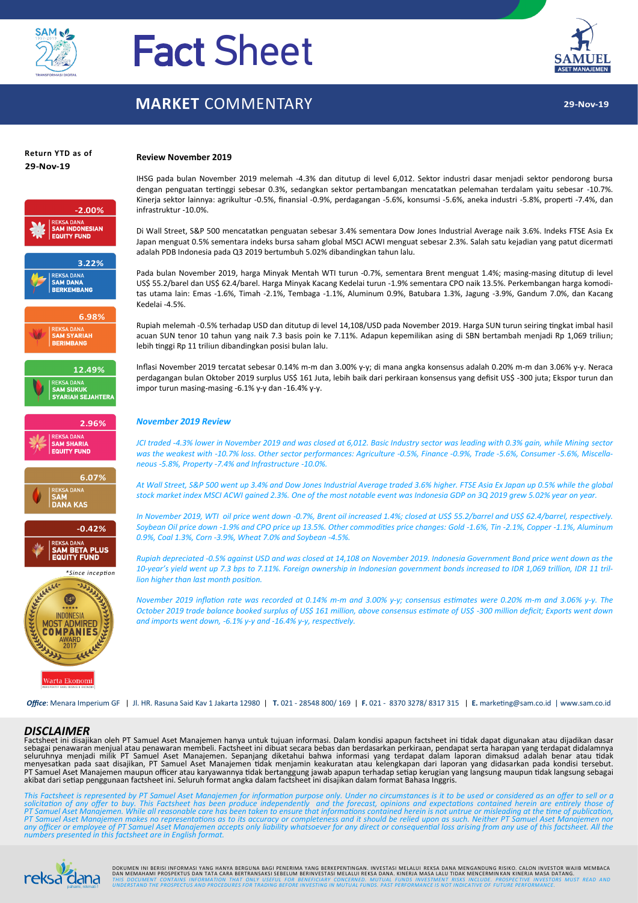

# Fact Sheet

### **MARKET** COMMENTARY

**Review November 2019**



# **Return YTD as of**



IHSG pada bulan November 2019 melemah -4.3% dan ditutup di level 6,012. Sektor industri dasar menjadi sektor pendorong bursa dengan penguatan tertinggi sebesar 0.3%, sedangkan sektor pertambangan mencatatkan pelemahan terdalam yaitu sebesar -10.7%. Kinerja sektor lainnya: agrikultur -0.5%, finansial -0.9%, perdagangan -5.6%, konsumsi -5.6%, aneka industri -5.8%, properti -7.4%, dan infrastruktur -10.0%.

Di Wall Street, S&P 500 mencatatkan penguatan sebesar 3.4% sementara Dow Jones Industrial Average naik 3.6%. Indeks FTSE Asia Ex Japan menguat 0.5% sementara indeks bursa saham global MSCI ACWI menguat sebesar 2.3%. Salah satu kejadian yang patut dicermati adalah PDB Indonesia pada Q3 2019 bertumbuh 5.02% dibandingkan tahun lalu.

Pada bulan November 2019, harga Minyak Mentah WTI turun -0.7%, sementara Brent menguat 1.4%; masing-masing ditutup di level US\$ 55.2/barel dan US\$ 62.4/barel. Harga Minyak Kacang Kedelai turun -1.9% sementara CPO naik 13.5%. Perkembangan harga komoditas utama lain: Emas -1.6%, Timah -2.1%, Tembaga -1.1%, Aluminum 0.9%, Batubara 1.3%, Jagung -3.9%, Gandum 7.0%, dan Kacang Kedelai -4.5%.

Rupiah melemah -0.5% terhadap USD dan ditutup di level 14,108/USD pada November 2019. Harga SUN turun seiring tingkat imbal hasil acuan SUN tenor 10 tahun yang naik 7.3 basis poin ke 7.11%. Adapun kepemilikan asing di SBN bertambah menjadi Rp 1,069 triliun; lebih tinggi Rp 11 triliun dibandingkan posisi bulan lalu.

Inflasi November 2019 tercatat sebesar 0.14% m-m dan 3.00% y-y; di mana angka konsensus adalah 0.20% m-m dan 3.06% y-y. Neraca perdagangan bulan Oktober 2019 surplus US\$ 161 Juta, lebih baik dari perkiraan konsensus yang defisit US\$ -300 juta; Ekspor turun dan impor turun masing-masing -6.1% y-y dan -16.4% y-y.

#### *November 2019 Review*

*JCI traded -4.3% lower in November 2019 and was closed at 6,012. Basic Industry sector was leading with 0.3% gain, while Mining sector was the weakest with -10.7% loss. Other sector performances: Agriculture -0.5%, Finance -0.9%, Trade -5.6%, Consumer -5.6%, Miscellaneous -5.8%, Property -7.4% and Infrastructure -10.0%.*

*At Wall Street, S&P 500 went up 3.4% and Dow Jones Industrial Average traded 3.6% higher. FTSE Asia Ex Japan up 0.5% while the global stock market index MSCI ACWI gained 2.3%. One of the most notable event was Indonesia GDP on 3Q 2019 grew 5.02% year on year.*

*In November 2019, WTI oil price went down -0.7%, Brent oil increased 1.4%; closed at US\$ 55.2/barrel and US\$ 62.4/barrel, respectively. Soybean Oil price down -1.9% and CPO price up 13.5%. Other commodities price changes: Gold -1.6%, Tin -2.1%, Copper -1.1%, Aluminum 0.9%, Coal 1.3%, Corn -3.9%, Wheat 7.0% and Soybean -4.5%.*

*Rupiah depreciated -0.5% against USD and was closed at 14,108 on November 2019. Indonesia Government Bond price went down as the 10-year's yield went up 7.3 bps to 7.11%. Foreign ownership in Indonesian government bonds increased to IDR 1,069 trillion, IDR 11 trillion higher than last month position.*

*November 2019 inflation rate was recorded at 0.14% m-m and 3.00% y-y; consensus estimates were 0.20% m-m and 3.06% y-y. The October 2019 trade balance booked surplus of US\$ 161 million, above consensus estimate of US\$ -300 million deficit; Exports went down and imports went down, -6.1% y-y and -16.4% y-y, respectively.*

*Office*: Menara Imperium GF | Jl. HR. Rasuna Said Kav 1 Jakarta 12980 | **T.** 021 - 28548 800/ 169 | **F.** 021 - 8370 3278/ 8317 315 | **E.** marketing@sam.co.id | www.sam.co.id

#### *DISCLAIMER*

Factsheet ini disajikan oleh PT Samuel Aset Manajemen hanya untuk tujuan informasi. Dalam kondisi apapun factsheet ini tidak dapat digunakan atau dijadikan dasar sebagai penawaran menjual atau penawaran membeli. Factsheet ini dibuat secara bebas dan berdasarkan perkiraan, pendapat serta harapan yang terdapat didalamnya<br>seluruhnya menjadi milik PT Samuel Aset Manajemen. Sepanjang di PT Samuel Aset Manajemen maupun officer atau karyawannya tidak bertanggung jawab apapun terhadap setiap kerugian yang langsung maupun tidak langsung sebagai<br>akibat dari setiap penggunaan factsheet ini. Seluruh format angka

This Factsheet is represented by PT Samuel Aset Manajemen for information purpose only. Under no circumstances is it to be used or considered as an offer to sell or a<br>solicitation of any offer to buy. This Factsheet has be



DOKUMEN INI BERISI INFORMASI YANG HANYA BERGUNA BAGI PENERIMA YANG BERKEPENTINGAN. INYESTASI INELALUI REKSA DANA MANGUNA KORA DANG MANGUNA ARANG MANGUNA DANG MANGUNA DANG MANGUNA MANGUNA MASA DATANG.<br>DAN MEMAHAMI PROSPEKTU UCLICITY THIS DOCUMENT CONTAINS INFORMATION THAT ONLY USEFUL FOR BENEFICIARY CONCERNED. MUTUAL FUNDS INVESTMENT RISKS INCLUDE. PROSPECTIVE INVESTORS MUST READ AND<br><sub>pahami, nikmali! UNDERSTAND THE PROSPECTUS AND PROCEDURES </sub>